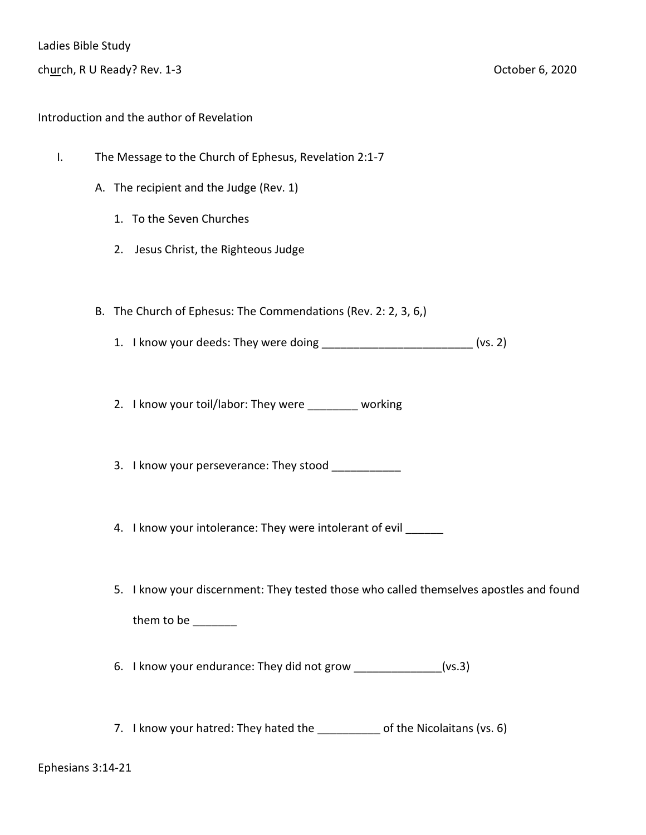Ladies Bible Study

church, R U Ready? Rev. 1-3 October 6, 2020

## Introduction and the author of Revelation

- I. The Message to the Church of Ephesus, Revelation 2:1-7
	- A. The recipient and the Judge (Rev. 1)
		- 1. To the Seven Churches
		- 2. Jesus Christ, the Righteous Judge
	- B. The Church of Ephesus: The Commendations (Rev. 2: 2, 3, 6,)
		- 1. I know your deeds: They were doing example and the same (vs. 2)
		- 2. I know your toil/labor: They were \_\_\_\_\_\_\_\_ working
		- 3. I know your perseverance: They stood
		- 4. I know your intolerance: They were intolerant of evil
		- 5. I know your discernment: They tested those who called themselves apostles and found them to be \_\_\_\_\_\_\_
		- 6. I know your endurance: They did not grow \_\_\_\_\_\_\_\_\_\_\_\_\_\_(vs.3)
		- 7. I know your hatred: They hated the \_\_\_\_\_\_\_\_\_\_\_ of the Nicolaitans (vs. 6)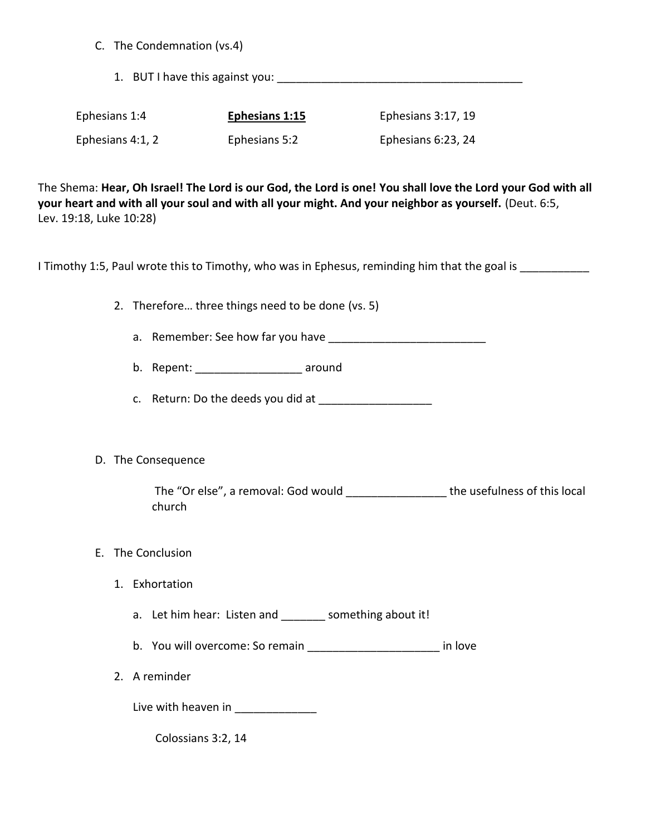|  |  | C. The Condemnation (vs.4) |  |
|--|--|----------------------------|--|
|--|--|----------------------------|--|

1. BUT I have this against you: \_\_\_\_\_\_\_\_\_\_\_\_\_\_\_\_\_\_\_\_\_\_\_\_\_\_\_\_\_\_\_\_\_\_\_\_\_\_\_

| Ephesians 1:4    | Ephesians 1:15 | Ephesians 3:17, 19 |
|------------------|----------------|--------------------|
| Ephesians 4:1, 2 | Ephesians 5:2  | Ephesians 6:23, 24 |

The Shema: **Hear, Oh Israel! The Lord is our God, the Lord is one! You shall love the Lord your God with all your heart and with all your soul and with all your might. And your neighbor as yourself.** (Deut. 6:5, Lev. 19:18, Luke 10:28)

I Timothy 1:5, Paul wrote this to Timothy, who was in Ephesus, reminding him that the goal is

2. Therefore… three things need to be done (vs. 5)

a. Remember: See how far you have \_\_\_\_\_\_\_\_\_\_\_\_\_\_\_\_\_\_\_\_\_\_\_\_\_

b. Repent: \_\_\_\_\_\_\_\_\_\_\_\_\_\_\_\_\_\_\_\_ around

c. Return: Do the deeds you did at \_\_\_\_\_\_\_\_\_\_\_\_\_\_\_\_\_\_

## D. The Consequence

The "Or else", a removal: God would by the usefulness of this local church

## E. The Conclusion

- 1. Exhortation
	- a. Let him hear: Listen and something about it!
	- b. You will overcome: So remain \_\_\_\_\_\_\_\_\_\_\_\_\_\_\_\_\_\_\_\_\_ in love
- 2. A reminder

Live with heaven in \_\_\_\_\_\_\_\_\_\_\_\_\_\_

Colossians 3:2, 14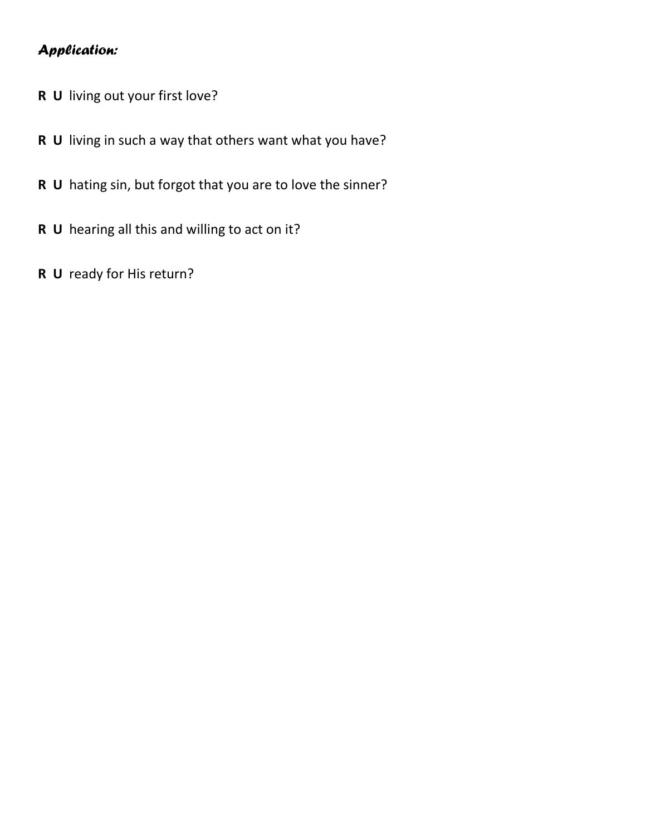## *Application:*

- **R U** living out your first love?
- **R U** living in such a way that others want what you have?
- **R U** hating sin, but forgot that you are to love the sinner?
- **R U** hearing all this and willing to act on it?
- **R U** ready for His return?